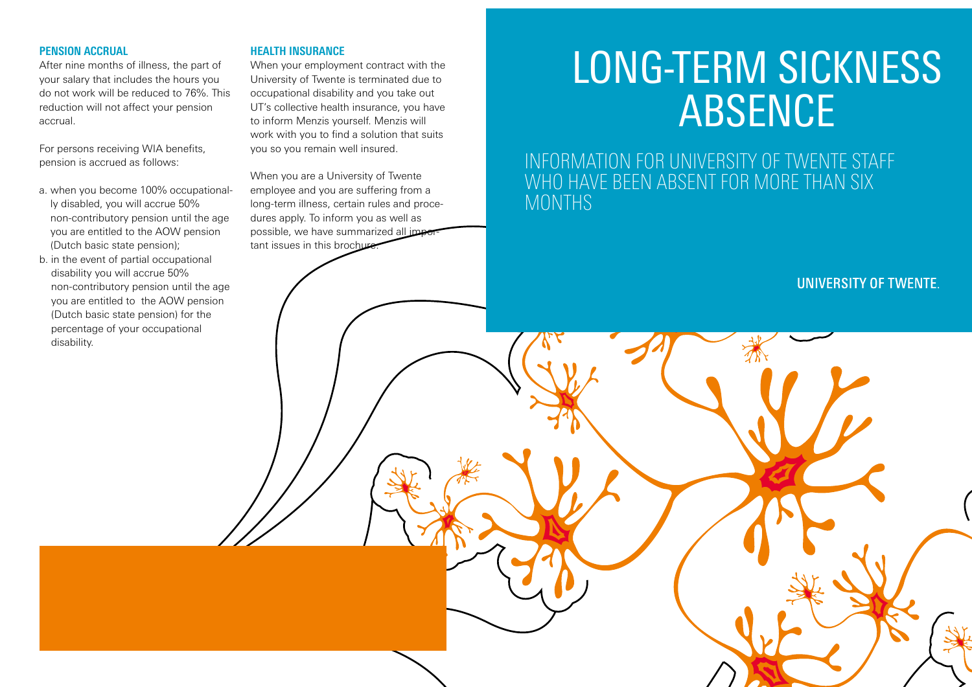#### **PENSION ACCRUAL**

After nine months of illness, the part of your salary that includes the hours you do not work will be reduced to 76%. This reduction will not affect your pension accrual.

For persons receiving WIA benefits, pension is accrued as follows:

- a. when you become 100% occupationally disabled, you will accrue 50% non-contributory pension until the age you are entitled to the AOW pension (Dutch basic state pension);
- b. in the event of partial occupational disability you will accrue 50% non-contributory pension until the age you are entitled to the AOW pension (Dutch basic state pension) for the percentage of your occupational disability.

#### **HEALTH INSURANCE**

When your employment contract with the University of Twente is terminated due to occupational disability and you take out UT's collective health insurance, you have to inform Menzis yourself. Menzis will work with you to find a solution that suits you so you remain well insured.

When you are a University of Twente employee and you are suffering from a long-term illness, certain rules and procedures apply. To inform you as well as possible, we have summarized all important issues in this brochure

# LONG-TERM SICKNESS ABSENCE

INFORMATION FOR UNIVERSITY OF TWENTE STAFF WHO HAVE BEEN ABSENT FOR MORE THAN SIX MONTHS

**UNIVERSITY OF TWENTE.**